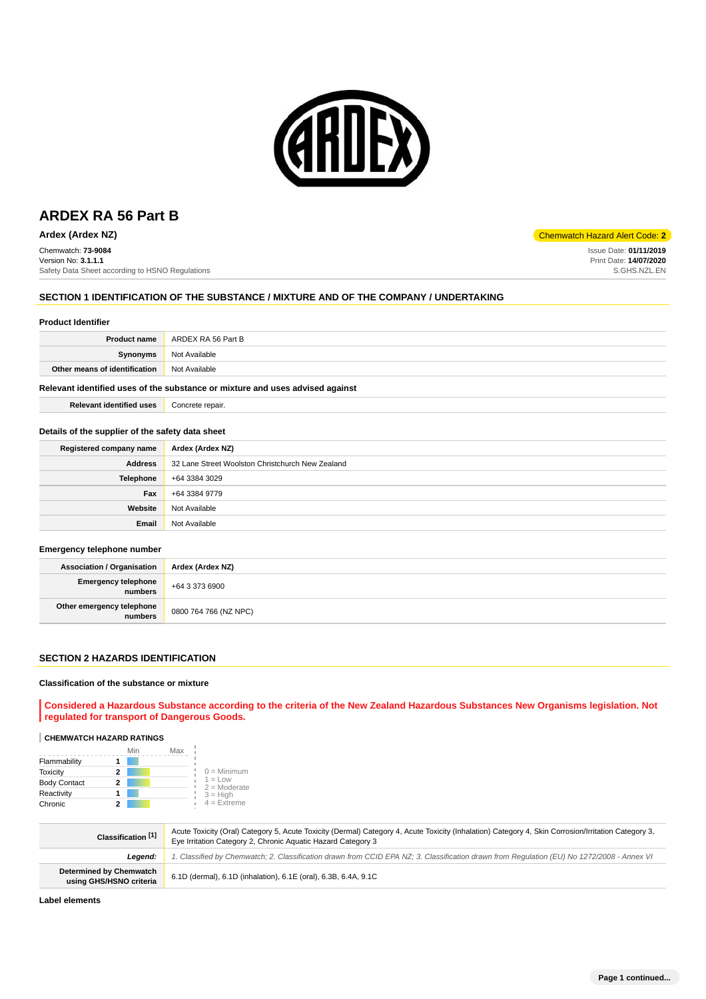

Chemwatch: **73-9084** Version No: **3.1.1.1** Safety Data Sheet according to HSNO Regulations

### **SECTION 1 IDENTIFICATION OF THE SUBSTANCE / MIXTURE AND OF THE COMPANY / UNDERTAKING**

#### **Product Identifier**

| <b>Product name</b>           | ARDEX RA 56 Part B |
|-------------------------------|--------------------|
| <b>Synonyms</b>               | Not Available      |
| Other means of identification | Not Available      |
|                               |                    |

### **Relevant identified uses of the substance or mixture and uses advised against**

| <b>Relevant identified uses</b> | Concrete repair. |
|---------------------------------|------------------|
|---------------------------------|------------------|

### **Details of the supplier of the safety data sheet**

| Registered company name | Ardex (Ardex NZ)                                 |
|-------------------------|--------------------------------------------------|
| <b>Address</b>          | 32 Lane Street Woolston Christchurch New Zealand |
| <b>Telephone</b>        | +64 3384 3029                                    |
| Fax                     | +64 3384 9779                                    |
| Website                 | Not Available                                    |
| Email                   | Not Available                                    |

#### **Emergency telephone number**

| <b>Association / Organisation</b>            | Ardex (Ardex NZ)      |
|----------------------------------------------|-----------------------|
| <b>Emergency telephone</b><br><b>numbers</b> | +64 3 373 6900        |
| Other emergency telephone<br>numbers         | 0800 764 766 (NZ NPC) |

#### **SECTION 2 HAZARDS IDENTIFICATION**

#### **Classification of the substance or mixture**

**Considered a Hazardous Substance according to the criteria of the New Zealand Hazardous Substances New Organisms legislation. Not regulated for transport of Dangerous Goods.**

# **CHEMWATCH HAZARD RATINGS**

|                     |   | Max |                             |
|---------------------|---|-----|-----------------------------|
| Flammability        |   |     |                             |
| <b>Toxicity</b>     | 2 |     | $0 =$ Minimum               |
| <b>Body Contact</b> | 2 |     | $1 = Low$<br>$2 =$ Moderate |
| Reactivity          |   |     | $3 = High$                  |
| Chronic             | 2 |     | $4 = Ex$ treme              |

| Classification [1]                                        | Acute Toxicity (Oral) Category 5, Acute Toxicity (Dermal) Category 4, Acute Toxicity (Inhalation) Category 4, Skin Corrosion/Irritation Category 3,<br>Eye Irritation Category 2, Chronic Aquatic Hazard Category 3 |
|-----------------------------------------------------------|---------------------------------------------------------------------------------------------------------------------------------------------------------------------------------------------------------------------|
| Leaend:                                                   | 1. Classified by Chemwatch; 2. Classification drawn from CCID EPA NZ; 3. Classification drawn from Regulation (EU) No 1272/2008 - Annex VI                                                                          |
| <b>Determined by Chemwatch</b><br>using GHS/HSNO criteria | 6.1D (dermal), 6.1D (inhalation), 6.1E (oral), 6.3B, 6.4A, 9.1C                                                                                                                                                     |

**Label elements**

**Ardex (Ardex NZ)** Chemwatch Hazard Alert Code: **2**

Issue Date: **01/11/2019**

Print Date: **14/07/2020** S.GHS.NZL.EN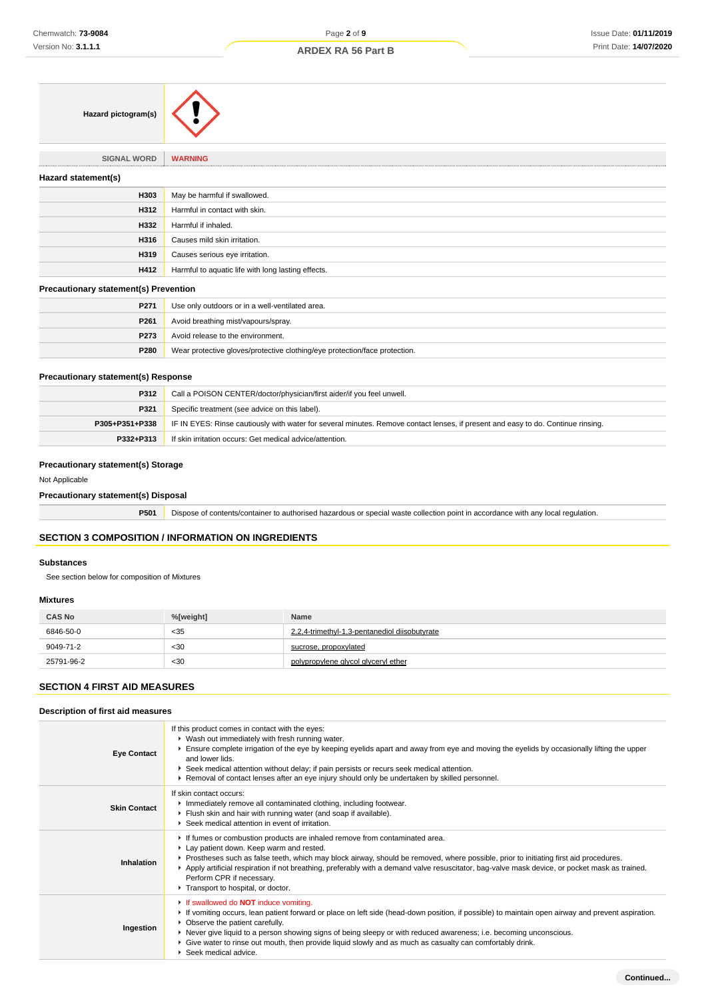| Hazard pictogram(s)                          |                                                    |
|----------------------------------------------|----------------------------------------------------|
| <b>SIGNAL WORD</b>                           | <b>WARNING</b>                                     |
| Hazard statement(s)                          |                                                    |
| H303                                         | May be harmful if swallowed.                       |
| H312                                         | Harmful in contact with skin.                      |
| H332                                         | Harmful if inhaled.                                |
| H316                                         | Causes mild skin irritation.                       |
| H319                                         | Causes serious eye irritation.                     |
| H412                                         | Harmful to aquatic life with long lasting effects. |
| <b>Precautionary statement(s) Prevention</b> |                                                    |
| P271                                         | Use only outdoors or in a well-ventilated area.    |

| P261             | Avoid breathing mist/vapours/spray.                                        |
|------------------|----------------------------------------------------------------------------|
| P <sub>273</sub> | Avoid release to the environment.                                          |
| <b>P280</b>      | Wear protective gloves/protective clothing/eye protection/face protection. |

### **Precautionary statement(s) Response**

| P312           | Call a POISON CENTER/doctor/physician/first aider/if you feel unwell.                                                            |
|----------------|----------------------------------------------------------------------------------------------------------------------------------|
| P321           | Specific treatment (see advice on this label).                                                                                   |
| P305+P351+P338 | IF IN EYES: Rinse cautiously with water for several minutes. Remove contact lenses, if present and easy to do. Continue rinsing. |
| P332+P313      | If skin irritation occurs: Get medical advice/attention.                                                                         |

# **Precautionary statement(s) Storage**

#### Not Applicable

**Precautionary statement(s) Disposal**

**P501** Dispose of contents/container to authorised hazardous or special waste collection point in accordance with any local regulation.

# **SECTION 3 COMPOSITION / INFORMATION ON INGREDIENTS**

 $\hat{\mathbf{r}}$ 

### **Substances**

See section below for composition of Mixtures

## **Mixtures**

| <b>CAS No</b> | %[weight] | <b>Name</b>                                   |
|---------------|-----------|-----------------------------------------------|
| 6846-50-0     | < 35      | 2.2.4-trimethyl-1.3-pentanediol diisobutvrate |
| 9049-71-2     | $30$      | sucrose, propoxylated                         |
| 25791-96-2    | $30$      | polypropylene glycol glyceryl ether           |

# **SECTION 4 FIRST AID MEASURES**

# **Description of first aid measures**

| <b>Eye Contact</b>  | If this product comes in contact with the eyes:<br>▶ Wash out immediately with fresh running water.<br>Ensure complete irrigation of the eye by keeping eyelids apart and away from eye and moving the eyelids by occasionally lifting the upper<br>and lower lids.<br>▶ Seek medical attention without delay; if pain persists or recurs seek medical attention.<br>▶ Removal of contact lenses after an eye injury should only be undertaken by skilled personnel.                                 |
|---------------------|------------------------------------------------------------------------------------------------------------------------------------------------------------------------------------------------------------------------------------------------------------------------------------------------------------------------------------------------------------------------------------------------------------------------------------------------------------------------------------------------------|
| <b>Skin Contact</b> | If skin contact occurs:<br>Inmediately remove all contaminated clothing, including footwear.<br>Flush skin and hair with running water (and soap if available).<br>▶ Seek medical attention in event of irritation.                                                                                                                                                                                                                                                                                  |
| Inhalation          | If fumes or combustion products are inhaled remove from contaminated area.<br>Lay patient down. Keep warm and rested.<br>▶ Prostheses such as false teeth, which may block airway, should be removed, where possible, prior to initiating first aid procedures.<br>Apply artificial respiration if not breathing, preferably with a demand valve resuscitator, bag-valve mask device, or pocket mask as trained.<br>Perform CPR if necessary.<br>Transport to hospital, or doctor.                   |
| Ingestion           | If swallowed do <b>NOT</b> induce vomiting.<br>► If vomiting occurs, lean patient forward or place on left side (head-down position, if possible) to maintain open airway and prevent aspiration.<br>• Observe the patient carefully.<br>▶ Never give liquid to a person showing signs of being sleepy or with reduced awareness; i.e. becoming unconscious.<br>• Give water to rinse out mouth, then provide liquid slowly and as much as casualty can comfortably drink.<br>▶ Seek medical advice. |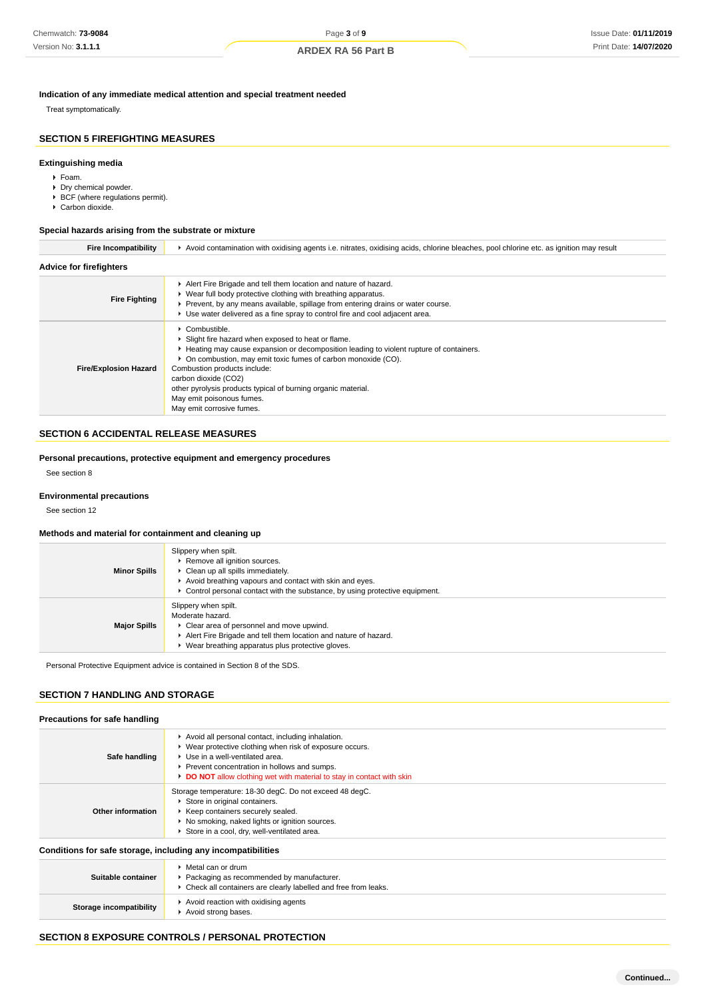### **Indication of any immediate medical attention and special treatment needed**

Treat symptomatically.

# **SECTION 5 FIREFIGHTING MEASURES**

# **Extinguishing media**

- Foam.
- Dry chemical powder.
- ▶ BCF (where regulations permit).
- ▶ Carbon dioxide.

# **Special hazards arising from the substrate or mixture**

| <b>Fire Incompatibility</b>    | ► Avoid contamination with oxidising agents i.e. nitrates, oxidising acids, chlorine bleaches, pool chlorine etc. as ignition may result                                                                                                                                                                                                                                                                                              |
|--------------------------------|---------------------------------------------------------------------------------------------------------------------------------------------------------------------------------------------------------------------------------------------------------------------------------------------------------------------------------------------------------------------------------------------------------------------------------------|
| <b>Advice for firefighters</b> |                                                                                                                                                                                                                                                                                                                                                                                                                                       |
| <b>Fire Fighting</b>           | Alert Fire Brigade and tell them location and nature of hazard.<br>▶ Wear full body protective clothing with breathing apparatus.<br>► Prevent, by any means available, spillage from entering drains or water course.<br>► Use water delivered as a fine spray to control fire and cool adjacent area.                                                                                                                               |
| <b>Fire/Explosion Hazard</b>   | $\triangleright$ Combustible.<br>▶ Slight fire hazard when exposed to heat or flame.<br>► Heating may cause expansion or decomposition leading to violent rupture of containers.<br>• On combustion, may emit toxic fumes of carbon monoxide (CO).<br>Combustion products include:<br>carbon dioxide (CO2)<br>other pyrolysis products typical of burning organic material.<br>May emit poisonous fumes.<br>May emit corrosive fumes. |

# **SECTION 6 ACCIDENTAL RELEASE MEASURES**

**Personal precautions, protective equipment and emergency procedures**

See section 8

### **Environmental precautions**

See section 12

## **Methods and material for containment and cleaning up**

| <b>Minor Spills</b> | Slippery when spilt.<br>Remove all ignition sources.<br>• Clean up all spills immediately.<br>Avoid breathing vapours and contact with skin and eyes.<br>$\blacktriangleright$ Control personal contact with the substance, by using protective equipment. |
|---------------------|------------------------------------------------------------------------------------------------------------------------------------------------------------------------------------------------------------------------------------------------------------|
| <b>Major Spills</b> | Slippery when spilt.<br>Moderate hazard.<br>• Clear area of personnel and move upwind.<br>Alert Fire Brigade and tell them location and nature of hazard.<br>Wear breathing apparatus plus protective gloves.                                              |

Personal Protective Equipment advice is contained in Section 8 of the SDS.

# **SECTION 7 HANDLING AND STORAGE**

# **Precautions for safe handling**

| Safe handling                                                | Avoid all personal contact, including inhalation.<br>▶ Wear protective clothing when risk of exposure occurs.<br>Use in a well-ventilated area.<br>Prevent concentration in hollows and sumps.<br>DO NOT allow clothing wet with material to stay in contact with skin |
|--------------------------------------------------------------|------------------------------------------------------------------------------------------------------------------------------------------------------------------------------------------------------------------------------------------------------------------------|
| Other information                                            | Storage temperature: 18-30 degC. Do not exceed 48 degC.<br>Store in original containers.<br>▶ Keep containers securely sealed.<br>▶ No smoking, naked lights or ignition sources.<br>Store in a cool, dry, well-ventilated area.                                       |
| Conditions for safe storage, including any incompatibilities |                                                                                                                                                                                                                                                                        |
| Suitable container                                           | ▶ Metal can or drum<br>Packaging as recommended by manufacturer.<br>• Check all containers are clearly labelled and free from leaks.                                                                                                                                   |

# Avoid strong bases.

**Storage incompatibility** Avoid reaction with oxidising agents

# **SECTION 8 EXPOSURE CONTROLS / PERSONAL PROTECTION**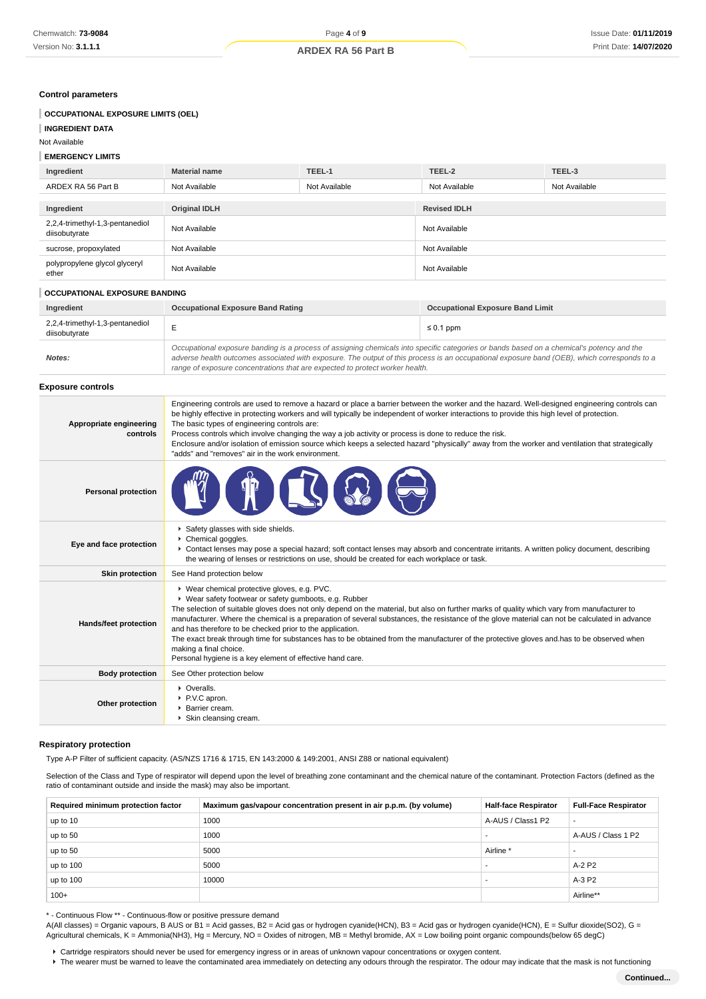# **Control parameters**

| Control parameters                               |                                                                                                                                                                                                                                                                                                                                                                                                                                                                                                                                                                                                                                                                                                          |               |                                         |               |  |
|--------------------------------------------------|----------------------------------------------------------------------------------------------------------------------------------------------------------------------------------------------------------------------------------------------------------------------------------------------------------------------------------------------------------------------------------------------------------------------------------------------------------------------------------------------------------------------------------------------------------------------------------------------------------------------------------------------------------------------------------------------------------|---------------|-----------------------------------------|---------------|--|
| <b>OCCUPATIONAL EXPOSURE LIMITS (OEL)</b>        |                                                                                                                                                                                                                                                                                                                                                                                                                                                                                                                                                                                                                                                                                                          |               |                                         |               |  |
| <b>INGREDIENT DATA</b>                           |                                                                                                                                                                                                                                                                                                                                                                                                                                                                                                                                                                                                                                                                                                          |               |                                         |               |  |
| Not Available                                    |                                                                                                                                                                                                                                                                                                                                                                                                                                                                                                                                                                                                                                                                                                          |               |                                         |               |  |
| <b>EMERGENCY LIMITS</b>                          |                                                                                                                                                                                                                                                                                                                                                                                                                                                                                                                                                                                                                                                                                                          |               |                                         |               |  |
| Ingredient                                       | <b>Material name</b>                                                                                                                                                                                                                                                                                                                                                                                                                                                                                                                                                                                                                                                                                     | TEEL-1        | TEEL-2                                  | TEEL-3        |  |
| ARDEX RA 56 Part B                               | Not Available                                                                                                                                                                                                                                                                                                                                                                                                                                                                                                                                                                                                                                                                                            | Not Available | Not Available                           | Not Available |  |
| Ingredient                                       | <b>Original IDLH</b>                                                                                                                                                                                                                                                                                                                                                                                                                                                                                                                                                                                                                                                                                     |               | <b>Revised IDLH</b>                     |               |  |
| 2,2,4-trimethyl-1,3-pentanediol<br>diisobutyrate | Not Available                                                                                                                                                                                                                                                                                                                                                                                                                                                                                                                                                                                                                                                                                            |               | Not Available                           |               |  |
| sucrose, propoxylated                            | Not Available                                                                                                                                                                                                                                                                                                                                                                                                                                                                                                                                                                                                                                                                                            |               | Not Available                           |               |  |
| polypropylene glycol glyceryl<br>ether           | Not Available                                                                                                                                                                                                                                                                                                                                                                                                                                                                                                                                                                                                                                                                                            |               | Not Available                           |               |  |
| OCCUPATIONAL EXPOSURE BANDING                    |                                                                                                                                                                                                                                                                                                                                                                                                                                                                                                                                                                                                                                                                                                          |               |                                         |               |  |
| Ingredient                                       | <b>Occupational Exposure Band Rating</b>                                                                                                                                                                                                                                                                                                                                                                                                                                                                                                                                                                                                                                                                 |               | <b>Occupational Exposure Band Limit</b> |               |  |
| 2,2,4-trimethyl-1,3-pentanediol<br>diisobutyrate | Е                                                                                                                                                                                                                                                                                                                                                                                                                                                                                                                                                                                                                                                                                                        |               | $\leq 0.1$ ppm                          |               |  |
| Notes:                                           | Occupational exposure banding is a process of assigning chemicals into specific categories or bands based on a chemical's potency and the<br>adverse health outcomes associated with exposure. The output of this process is an occupational exposure band (OEB), which corresponds to a<br>range of exposure concentrations that are expected to protect worker health.                                                                                                                                                                                                                                                                                                                                 |               |                                         |               |  |
| <b>Exposure controls</b>                         |                                                                                                                                                                                                                                                                                                                                                                                                                                                                                                                                                                                                                                                                                                          |               |                                         |               |  |
| Appropriate engineering<br>controls              | Engineering controls are used to remove a hazard or place a barrier between the worker and the hazard. Well-designed engineering controls can<br>be highly effective in protecting workers and will typically be independent of worker interactions to provide this high level of protection.<br>The basic types of engineering controls are:<br>Process controls which involve changing the way a job activity or process is done to reduce the risk.<br>Enclosure and/or isolation of emission source which keeps a selected hazard "physically" away from the worker and ventilation that strategically<br>"adds" and "removes" air in the work environment.                                          |               |                                         |               |  |
| <b>Personal protection</b>                       |                                                                                                                                                                                                                                                                                                                                                                                                                                                                                                                                                                                                                                                                                                          |               |                                         |               |  |
| Eye and face protection                          | Safety glasses with side shields.<br>Chemical goggles.<br>▶ Contact lenses may pose a special hazard; soft contact lenses may absorb and concentrate irritants. A written policy document, describing<br>the wearing of lenses or restrictions on use, should be created for each workplace or task.                                                                                                                                                                                                                                                                                                                                                                                                     |               |                                         |               |  |
| <b>Skin protection</b>                           | See Hand protection below                                                                                                                                                                                                                                                                                                                                                                                                                                                                                                                                                                                                                                                                                |               |                                         |               |  |
| Hands/feet protection                            | ▶ Wear chemical protective gloves, e.g. PVC.<br>▶ Wear safety footwear or safety gumboots, e.g. Rubber<br>The selection of suitable gloves does not only depend on the material, but also on further marks of quality which vary from manufacturer to<br>manufacturer. Where the chemical is a preparation of several substances, the resistance of the glove material can not be calculated in advance<br>and has therefore to be checked prior to the application.<br>The exact break through time for substances has to be obtained from the manufacturer of the protective gloves and has to be observed when<br>making a final choice.<br>Personal hygiene is a key element of effective hand care. |               |                                         |               |  |
| <b>Body protection</b>                           | See Other protection below                                                                                                                                                                                                                                                                                                                                                                                                                                                                                                                                                                                                                                                                               |               |                                         |               |  |
| Other protection                                 | • Overalls.<br>▶ P.V.C apron.<br>Barrier cream.<br>Skin cleansing cream.                                                                                                                                                                                                                                                                                                                                                                                                                                                                                                                                                                                                                                 |               |                                         |               |  |

### **Respiratory protection**

Type A-P Filter of sufficient capacity. (AS/NZS 1716 & 1715, EN 143:2000 & 149:2001, ANSI Z88 or national equivalent)

Selection of the Class and Type of respirator will depend upon the level of breathing zone contaminant and the chemical nature of the contaminant. Protection Factors (defined as the ratio of contaminant outside and inside the mask) may also be important.

| Required minimum protection factor | Maximum gas/vapour concentration present in air p.p.m. (by volume) | <b>Half-face Respirator</b> | <b>Full-Face Respirator</b> |
|------------------------------------|--------------------------------------------------------------------|-----------------------------|-----------------------------|
| up to 10                           | 1000                                                               | A-AUS / Class1 P2           | $\overline{\phantom{a}}$    |
| up to 50                           | 1000                                                               |                             | A-AUS / Class 1 P2          |
| up to 50                           | 5000                                                               | Airline *                   | -                           |
| up to 100                          | 5000                                                               |                             | A-2 P2                      |
| up to 100                          | 10000                                                              |                             | A-3 P2                      |
| $100+$                             |                                                                    |                             | Airline**                   |

\* - Continuous Flow \*\* - Continuous-flow or positive pressure demand

A(All classes) = Organic vapours, B AUS or B1 = Acid gasses, B2 = Acid gas or hydrogen cyanide(HCN), B3 = Acid gas or hydrogen cyanide(HCN), E = Sulfur dioxide(SO2), G = Agricultural chemicals, K = Ammonia(NH3), Hg = Mercury, NO = Oxides of nitrogen, MB = Methyl bromide, AX = Low boiling point organic compounds(below 65 degC)

Cartridge respirators should never be used for emergency ingress or in areas of unknown vapour concentrations or oxygen content.

F The wearer must be warned to leave the contaminated area immediately on detecting any odours through the respirator. The odour may indicate that the mask is not functioning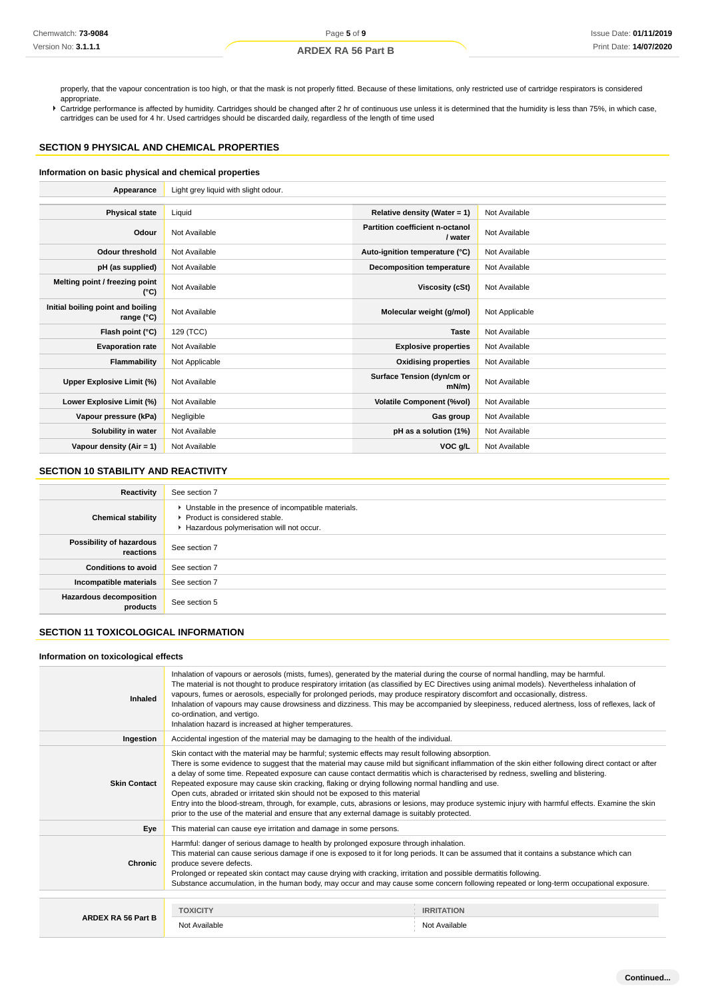properly, that the vapour concentration is too high, or that the mask is not properly fitted. Because of these limitations, only restricted use of cartridge respirators is considered appropriate.

Cartridge performance is affected by humidity. Cartridges should be changed after 2 hr of continuous use unless it is determined that the humidity is less than 75%, in which case, cartridges can be used for 4 hr. Used cartridges should be discarded daily, regardless of the length of time used

# **SECTION 9 PHYSICAL AND CHEMICAL PROPERTIES**

### **Information on basic physical and chemical properties**

| Appearance                                      | Light grey liquid with slight odour. |                                            |                |
|-------------------------------------------------|--------------------------------------|--------------------------------------------|----------------|
|                                                 |                                      |                                            |                |
| <b>Physical state</b>                           | Liquid                               | Relative density (Water = 1)               | Not Available  |
| Odour                                           | Not Available                        | Partition coefficient n-octanol<br>/ water | Not Available  |
| <b>Odour threshold</b>                          | Not Available                        | Auto-ignition temperature (°C)             | Not Available  |
| pH (as supplied)                                | Not Available                        | <b>Decomposition temperature</b>           | Not Available  |
| Melting point / freezing point<br>(°C)          | Not Available                        | Viscosity (cSt)                            | Not Available  |
| Initial boiling point and boiling<br>range (°C) | Not Available                        | Molecular weight (g/mol)                   | Not Applicable |
| Flash point (°C)                                | 129 (TCC)                            | <b>Taste</b>                               | Not Available  |
| <b>Evaporation rate</b>                         | Not Available                        | <b>Explosive properties</b>                | Not Available  |
| Flammability                                    | Not Applicable                       | <b>Oxidising properties</b>                | Not Available  |
| Upper Explosive Limit (%)                       | Not Available                        | Surface Tension (dyn/cm or<br>$mN/m$ )     | Not Available  |
| Lower Explosive Limit (%)                       | Not Available                        | <b>Volatile Component (%vol)</b>           | Not Available  |
| Vapour pressure (kPa)                           | Negligible                           | Gas group                                  | Not Available  |
| Solubility in water                             | Not Available                        | pH as a solution (1%)                      | Not Available  |
| Vapour density (Air = 1)                        | Not Available                        | VOC g/L                                    | Not Available  |

# **SECTION 10 STABILITY AND REACTIVITY**

| Reactivity                                 | See section 7                                                                                                                      |
|--------------------------------------------|------------------------------------------------------------------------------------------------------------------------------------|
| <b>Chemical stability</b>                  | • Unstable in the presence of incompatible materials.<br>Product is considered stable.<br>Hazardous polymerisation will not occur. |
| Possibility of hazardous<br>reactions      | See section 7                                                                                                                      |
| <b>Conditions to avoid</b>                 | See section 7                                                                                                                      |
| Incompatible materials                     | See section 7                                                                                                                      |
| <b>Hazardous decomposition</b><br>products | See section 5                                                                                                                      |

# **SECTION 11 TOXICOLOGICAL INFORMATION**

### **Information on toxicological effects**

| Inhaled                   | Inhalation of vapours or aerosols (mists, fumes), generated by the material during the course of normal handling, may be harmful.<br>The material is not thought to produce respiratory irritation (as classified by EC Directives using animal models). Nevertheless inhalation of<br>vapours, fumes or aerosols, especially for prolonged periods, may produce respiratory discomfort and occasionally, distress.<br>Inhalation of vapours may cause drowsiness and dizziness. This may be accompanied by sleepiness, reduced alertness, loss of reflexes, lack of<br>co-ordination, and vertigo.<br>Inhalation hazard is increased at higher temperatures.                                                                                                                                                                      |                                    |  |
|---------------------------|------------------------------------------------------------------------------------------------------------------------------------------------------------------------------------------------------------------------------------------------------------------------------------------------------------------------------------------------------------------------------------------------------------------------------------------------------------------------------------------------------------------------------------------------------------------------------------------------------------------------------------------------------------------------------------------------------------------------------------------------------------------------------------------------------------------------------------|------------------------------------|--|
| Ingestion                 | Accidental ingestion of the material may be damaging to the health of the individual.                                                                                                                                                                                                                                                                                                                                                                                                                                                                                                                                                                                                                                                                                                                                              |                                    |  |
| <b>Skin Contact</b>       | Skin contact with the material may be harmful; systemic effects may result following absorption.<br>There is some evidence to suggest that the material may cause mild but significant inflammation of the skin either following direct contact or after<br>a delay of some time. Repeated exposure can cause contact dermatitis which is characterised by redness, swelling and blistering.<br>Repeated exposure may cause skin cracking, flaking or drying following normal handling and use.<br>Open cuts, abraded or irritated skin should not be exposed to this material<br>Entry into the blood-stream, through, for example, cuts, abrasions or lesions, may produce systemic injury with harmful effects. Examine the skin<br>prior to the use of the material and ensure that any external damage is suitably protected. |                                    |  |
| Eye                       | This material can cause eye irritation and damage in some persons.                                                                                                                                                                                                                                                                                                                                                                                                                                                                                                                                                                                                                                                                                                                                                                 |                                    |  |
| <b>Chronic</b>            | Harmful: danger of serious damage to health by prolonged exposure through inhalation.<br>This material can cause serious damage if one is exposed to it for long periods. It can be assumed that it contains a substance which can<br>produce severe defects.<br>Prolonged or repeated skin contact may cause drying with cracking, irritation and possible dermatitis following.<br>Substance accumulation, in the human body, may occur and may cause some concern following repeated or long-term occupational exposure.                                                                                                                                                                                                                                                                                                        |                                    |  |
|                           |                                                                                                                                                                                                                                                                                                                                                                                                                                                                                                                                                                                                                                                                                                                                                                                                                                    |                                    |  |
| <b>ARDEX RA 56 Part B</b> | <b>TOXICITY</b><br>Not Available                                                                                                                                                                                                                                                                                                                                                                                                                                                                                                                                                                                                                                                                                                                                                                                                   | <b>IRRITATION</b><br>Not Available |  |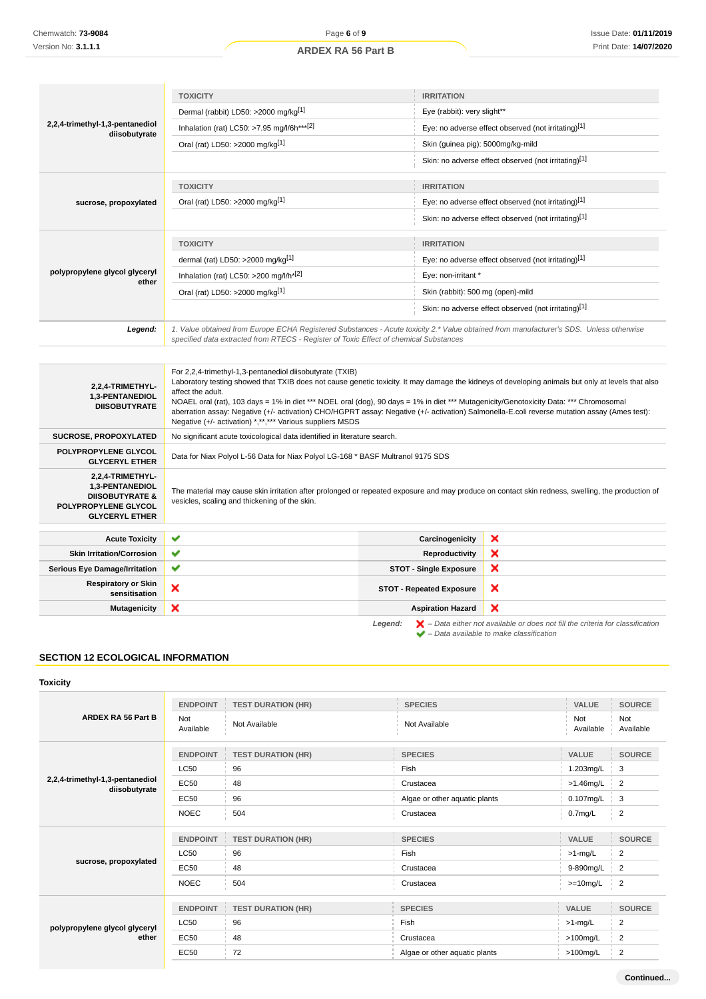|                                                             | <b>TOXICITY</b>                                                                                                                            | <b>IRRITATION</b>                                                                                                                                                                                                                                                                                                                                                                                                                          |  |
|-------------------------------------------------------------|--------------------------------------------------------------------------------------------------------------------------------------------|--------------------------------------------------------------------------------------------------------------------------------------------------------------------------------------------------------------------------------------------------------------------------------------------------------------------------------------------------------------------------------------------------------------------------------------------|--|
| 2,2,4-trimethyl-1,3-pentanediol<br>diisobutyrate            | Dermal (rabbit) LD50: >2000 mg/kg[1]                                                                                                       | Eye (rabbit): very slight**                                                                                                                                                                                                                                                                                                                                                                                                                |  |
|                                                             | Inhalation (rat) LC50: >7.95 mg/l/6h*** <sup>[2]</sup>                                                                                     | Eye: no adverse effect observed (not irritating)[1]                                                                                                                                                                                                                                                                                                                                                                                        |  |
|                                                             | Oral (rat) LD50: >2000 mg/kg[1]                                                                                                            | Skin (guinea pig): 5000mg/kg-mild                                                                                                                                                                                                                                                                                                                                                                                                          |  |
|                                                             |                                                                                                                                            | Skin: no adverse effect observed (not irritating)[1]                                                                                                                                                                                                                                                                                                                                                                                       |  |
|                                                             | <b>TOXICITY</b>                                                                                                                            | <b>IRRITATION</b>                                                                                                                                                                                                                                                                                                                                                                                                                          |  |
| sucrose, propoxylated                                       | Oral (rat) LD50: >2000 mg/kg[1]                                                                                                            | Eye: no adverse effect observed (not irritating)[1]                                                                                                                                                                                                                                                                                                                                                                                        |  |
|                                                             |                                                                                                                                            | Skin: no adverse effect observed (not irritating)[1]                                                                                                                                                                                                                                                                                                                                                                                       |  |
|                                                             | <b>TOXICITY</b>                                                                                                                            | <b>IRRITATION</b>                                                                                                                                                                                                                                                                                                                                                                                                                          |  |
|                                                             | dermal (rat) LD50: >2000 mg/kg <sup>[1]</sup>                                                                                              | Eye: no adverse effect observed (not irritating)[1]                                                                                                                                                                                                                                                                                                                                                                                        |  |
| polypropylene glycol glyceryl<br>ether                      | Inhalation (rat) LC50: >200 mg/l/h <sup>*[2]</sup>                                                                                         | Eye: non-irritant *                                                                                                                                                                                                                                                                                                                                                                                                                        |  |
|                                                             | Oral (rat) LD50: >2000 mg/kg[1]                                                                                                            | Skin (rabbit): 500 mg (open)-mild                                                                                                                                                                                                                                                                                                                                                                                                          |  |
|                                                             |                                                                                                                                            | Skin: no adverse effect observed (not irritating)[1]                                                                                                                                                                                                                                                                                                                                                                                       |  |
| Legend:                                                     | specified data extracted from RTECS - Register of Toxic Effect of chemical Substances                                                      | 1. Value obtained from Europe ECHA Registered Substances - Acute toxicity 2.* Value obtained from manufacturer's SDS. Unless otherwise                                                                                                                                                                                                                                                                                                     |  |
|                                                             |                                                                                                                                            |                                                                                                                                                                                                                                                                                                                                                                                                                                            |  |
| 2,2,4-TRIMETHYL-<br>1,3-PENTANEDIOL<br><b>DIISOBUTYRATE</b> | For 2,2,4-trimethyl-1,3-pentanediol diisobutyrate (TXIB)<br>affect the adult.<br>Negative (+/- activation) *,**,*** Various suppliers MSDS | Laboratory testing showed that TXIB does not cause genetic toxicity. It may damage the kidneys of developing animals but only at levels that also<br>NOAEL oral (rat), 103 days = 1% in diet *** NOEL oral (dog), 90 days = 1% in diet *** Mutagenicity/Genotoxicity Data: *** Chromosomal<br>aberration assay: Negative (+/- activation) CHO/HGPRT assay: Negative (+/- activation) Salmonella-E.coli reverse mutation assay (Ames test): |  |
| <b>SUCROSE, PROPOXYLATED</b>                                | No significant acute toxicological data identified in literature search.                                                                   |                                                                                                                                                                                                                                                                                                                                                                                                                                            |  |

**POLYPROPYLENE GLYCOL** Data for Niax Polyol L-56 Data for Niax Polyol LG-168 \* BASF Multranol 9175 SDS

**1,3-PENTANEDIOL DIISOBUTYRATE & POLYPROPYLENE GLYCOL GLYCERYL ETHER** The material may cause skin irritation after prolonged or repeated exposure and may produce on contact skin redness, swelling, the production of vesicles, scaling and thickening of the skin.

– Data available to make classification

| <b>Acute Toxicity</b>                       | $\checkmark$ | Carcinogenicity                 | ×                                                                                                        |
|---------------------------------------------|--------------|---------------------------------|----------------------------------------------------------------------------------------------------------|
| <b>Skin Irritation/Corrosion</b>            | $\checkmark$ | Reproductivity                  | ×                                                                                                        |
| <b>Serious Eye Damage/Irritation</b>        |              | <b>STOT - Single Exposure</b>   | ×                                                                                                        |
| <b>Respiratory or Skin</b><br>sensitisation | ↗            | <b>STOT - Repeated Exposure</b> | ×                                                                                                        |
| <b>Mutagenicity</b>                         | ◚            | <b>Aspiration Hazard</b>        | $\boldsymbol{\mathsf{x}}$                                                                                |
|                                             |              |                                 | <b>Legend:</b> $\mathbf{X}$ – Data either not available or does not fill the criteria for classification |

# **SECTION 12 ECOLOGICAL INFORMATION**

**2,2,4-TRIMETHYL-**

**Toxicity**

|                                                  | <b>ENDPOINT</b>        | <b>TEST DURATION (HR)</b> | <b>SPECIES</b>                | <b>VALUE</b>     | <b>SOURCE</b>    |
|--------------------------------------------------|------------------------|---------------------------|-------------------------------|------------------|------------------|
| <b>ARDEX RA 56 Part B</b>                        | Not<br>Available       | Not Available             | Not Available                 | Not<br>Available | Not<br>Available |
|                                                  | <b>ENDPOINT</b>        | <b>TEST DURATION (HR)</b> | <b>SPECIES</b>                | <b>VALUE</b>     | <b>SOURCE</b>    |
|                                                  | <b>LC50</b>            | 96                        | Fish                          | 1.203mg/L        | 3                |
| 2,2,4-trimethyl-1,3-pentanediol<br>diisobutyrate | <b>EC50</b>            | 48                        | Crustacea                     | $>1.46$ mg/L     | $\overline{2}$   |
|                                                  | <b>EC50</b>            | 96                        | Algae or other aquatic plants | 0.107mg/L        | 3                |
|                                                  | <b>NOEC</b>            | 504                       | Crustacea                     | $0.7$ mg/L       | 2                |
|                                                  | <b>ENDPOINT</b>        | <b>TEST DURATION (HR)</b> | <b>SPECIES</b>                | VALUE            | <b>SOURCE</b>    |
|                                                  | <b>LC50</b>            | 96                        | Fish                          | $>1$ -mg/L       | $\overline{2}$   |
| sucrose, propoxylated                            | <b>EC50</b>            | 48                        | Crustacea                     | 9-890mg/L        | $\overline{2}$   |
|                                                  | <b>NOEC</b>            | 504                       | Crustacea                     | $>=10mg/L$       | $\overline{2}$   |
|                                                  | <b>ENDPOINT</b><br>-11 | <b>TEST DURATION (HR)</b> | <b>SPECIES</b>                | <b>VALUE</b>     | <b>SOURCE</b>    |
| polypropylene glycol glyceryl                    | <b>LC50</b>            | 96                        | Fish                          | $>1$ -mg/L       | $\overline{2}$   |
| ether                                            | <b>EC50</b>            | 48                        | Crustacea                     | $>100$ mg/L      | $\overline{2}$   |
|                                                  | <b>EC50</b>            | 72                        | Algae or other aquatic plants | $>100$ mg/L      | $\overline{2}$   |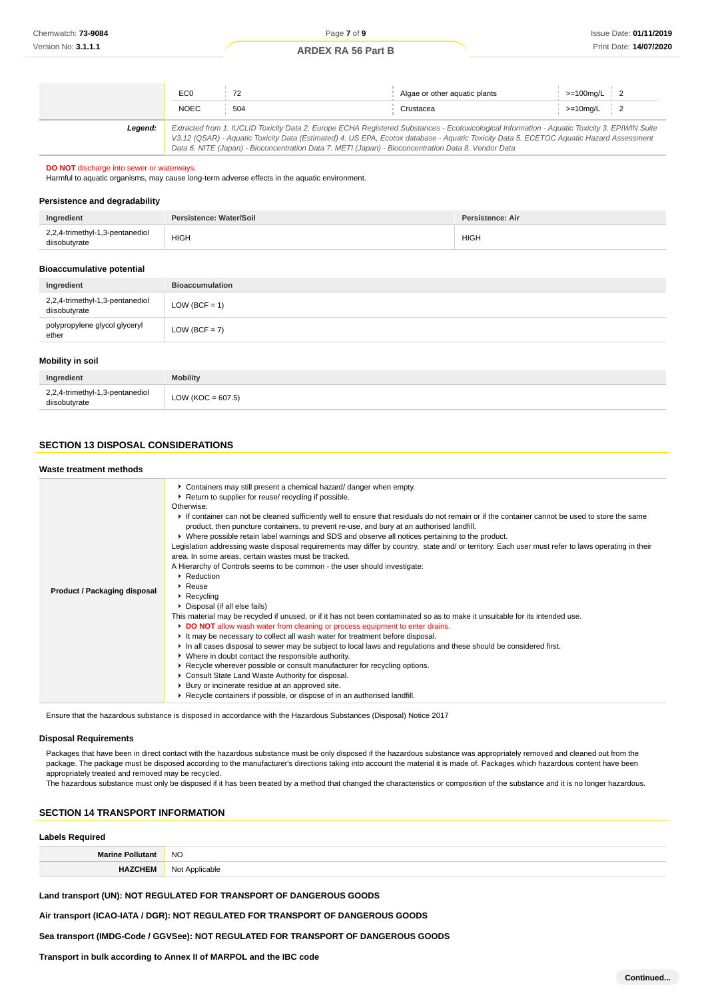|         | EC <sub>0</sub><br><b>NOEC</b> | 72<br>504                                                                                                                                                                                                                                                                                                                                                                                       | Algae or other aguatic plants<br>Crustacea | $>=100$ mg/L $\vert$ 2<br>$>=10$ mg/L 2 |  |
|---------|--------------------------------|-------------------------------------------------------------------------------------------------------------------------------------------------------------------------------------------------------------------------------------------------------------------------------------------------------------------------------------------------------------------------------------------------|--------------------------------------------|-----------------------------------------|--|
| Leaend: |                                | Extracted from 1. IUCLID Toxicity Data 2. Europe ECHA Registered Substances - Ecotoxicological Information - Aquatic Toxicity 3. EPIWIN Suite<br>V3.12 (QSAR) - Aquatic Toxicity Data (Estimated) 4. US EPA, Ecotox database - Aquatic Toxicity Data 5. ECETOC Aquatic Hazard Assessment<br>Data 6. NITE (Japan) - Bioconcentration Data 7. METI (Japan) - Bioconcentration Data 8. Vendor Data |                                            |                                         |  |

#### **DO NOT** discharge into sewer or waterways.

Harmful to aquatic organisms, may cause long-term adverse effects in the aquatic environment.

### **Persistence and degradability**

| Ingredient                                       | Persistence: Water/Soil | Persistence: Air |
|--------------------------------------------------|-------------------------|------------------|
| 2,2,4-trimethyl-1,3-pentanediol<br>diisobutyrate | <b>HIGH</b>             | <b>HIGH</b>      |

### **Bioaccumulative potential**

| Ingredient                                       | <b>Bioaccumulation</b> |
|--------------------------------------------------|------------------------|
| 2,2,4-trimethyl-1,3-pentanediol<br>diisobutyrate | $LOW (BCF = 1)$        |
| polypropylene glycol glyceryl<br>ether           | $LOW (BCF = 7)$        |

### **Mobility in soil**

| Ingredient                                       | <b>Mobility</b>      |
|--------------------------------------------------|----------------------|
| 2,2,4-trimethyl-1,3-pentanediol<br>diisobutyrate | LOW (KOC = $607.5$ ) |

## **SECTION 13 DISPOSAL CONSIDERATIONS**

#### **Waste treatment methods**

| <b>Product / Packaging disposal</b> | • Containers may still present a chemical hazard/ danger when empty.<br>▶ Return to supplier for reuse/ recycling if possible.<br>Otherwise:<br>If container can not be cleaned sufficiently well to ensure that residuals do not remain or if the container cannot be used to store the same<br>product, then puncture containers, to prevent re-use, and bury at an authorised landfill.<br>▶ Where possible retain label warnings and SDS and observe all notices pertaining to the product.<br>Legislation addressing waste disposal requirements may differ by country, state and/ or territory. Each user must refer to laws operating in their<br>area. In some areas, certain wastes must be tracked.<br>A Hierarchy of Controls seems to be common - the user should investigate:<br>▶ Reduction<br>$\triangleright$ Reuse<br>$\triangleright$ Recycling<br>• Disposal (if all else fails)<br>This material may be recycled if unused, or if it has not been contaminated so as to make it unsuitable for its intended use.<br>DO NOT allow wash water from cleaning or process equipment to enter drains.<br>It may be necessary to collect all wash water for treatment before disposal.<br>In all cases disposal to sewer may be subject to local laws and regulations and these should be considered first.<br>• Where in doubt contact the responsible authority.<br>▶ Recycle wherever possible or consult manufacturer for recycling options.<br>Consult State Land Waste Authority for disposal.<br>▶ Bury or incinerate residue at an approved site.<br>▶ Recycle containers if possible, or dispose of in an authorised landfill. |
|-------------------------------------|------------------------------------------------------------------------------------------------------------------------------------------------------------------------------------------------------------------------------------------------------------------------------------------------------------------------------------------------------------------------------------------------------------------------------------------------------------------------------------------------------------------------------------------------------------------------------------------------------------------------------------------------------------------------------------------------------------------------------------------------------------------------------------------------------------------------------------------------------------------------------------------------------------------------------------------------------------------------------------------------------------------------------------------------------------------------------------------------------------------------------------------------------------------------------------------------------------------------------------------------------------------------------------------------------------------------------------------------------------------------------------------------------------------------------------------------------------------------------------------------------------------------------------------------------------------------------------------------------------------------------------------------------|

Ensure that the hazardous substance is disposed in accordance with the Hazardous Substances (Disposal) Notice 2017

#### **Disposal Requirements**

Packages that have been in direct contact with the hazardous substance must be only disposed if the hazardous substance was appropriately removed and cleaned out from the package. The package must be disposed according to the manufacturer's directions taking into account the material it is made of. Packages which hazardous content have been appropriately treated and removed may be recycled.

The hazardous substance must only be disposed if it has been treated by a method that changed the characteristics or composition of the substance and it is no longer hazardous.

### **SECTION 14 TRANSPORT INFORMATION**

# **Labels Required**

| <b>Marine Poll</b><br>olilitant' | <b>NO</b>      |
|----------------------------------|----------------|
| <b>HAZCHEM</b>                   | Not Applicable |

### **Land transport (UN): NOT REGULATED FOR TRANSPORT OF DANGEROUS GOODS**

**Air transport (ICAO-IATA / DGR): NOT REGULATED FOR TRANSPORT OF DANGEROUS GOODS**

**Sea transport (IMDG-Code / GGVSee): NOT REGULATED FOR TRANSPORT OF DANGEROUS GOODS**

**Transport in bulk according to Annex II of MARPOL and the IBC code**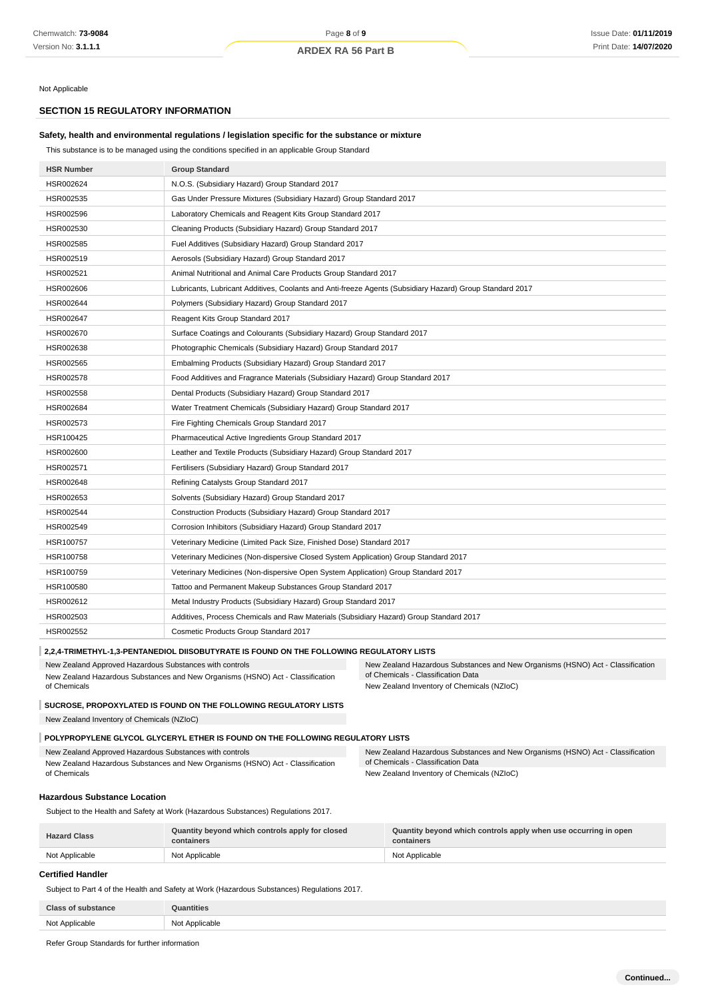Not Applicable

# **SECTION 15 REGULATORY INFORMATION**

# **Safety, health and environmental regulations / legislation specific for the substance or mixture**

This substance is to be managed using the conditions specified in an applicable Group Standard

| <b>HSR Number</b>                                                                                                                         | <b>Group Standard</b>                                                                                    |                                                                                                                      |  |
|-------------------------------------------------------------------------------------------------------------------------------------------|----------------------------------------------------------------------------------------------------------|----------------------------------------------------------------------------------------------------------------------|--|
| HSR002624                                                                                                                                 | N.O.S. (Subsidiary Hazard) Group Standard 2017                                                           |                                                                                                                      |  |
| HSR002535                                                                                                                                 | Gas Under Pressure Mixtures (Subsidiary Hazard) Group Standard 2017                                      |                                                                                                                      |  |
| HSR002596                                                                                                                                 | Laboratory Chemicals and Reagent Kits Group Standard 2017                                                |                                                                                                                      |  |
| HSR002530                                                                                                                                 | Cleaning Products (Subsidiary Hazard) Group Standard 2017                                                |                                                                                                                      |  |
| HSR002585                                                                                                                                 | Fuel Additives (Subsidiary Hazard) Group Standard 2017                                                   |                                                                                                                      |  |
| HSR002519                                                                                                                                 | Aerosols (Subsidiary Hazard) Group Standard 2017                                                         |                                                                                                                      |  |
| HSR002521                                                                                                                                 | Animal Nutritional and Animal Care Products Group Standard 2017                                          |                                                                                                                      |  |
| HSR002606                                                                                                                                 | Lubricants, Lubricant Additives, Coolants and Anti-freeze Agents (Subsidiary Hazard) Group Standard 2017 |                                                                                                                      |  |
| HSR002644                                                                                                                                 | Polymers (Subsidiary Hazard) Group Standard 2017                                                         |                                                                                                                      |  |
| HSR002647                                                                                                                                 | Reagent Kits Group Standard 2017                                                                         |                                                                                                                      |  |
| HSR002670                                                                                                                                 | Surface Coatings and Colourants (Subsidiary Hazard) Group Standard 2017                                  |                                                                                                                      |  |
| HSR002638                                                                                                                                 | Photographic Chemicals (Subsidiary Hazard) Group Standard 2017                                           |                                                                                                                      |  |
| HSR002565                                                                                                                                 | Embalming Products (Subsidiary Hazard) Group Standard 2017                                               |                                                                                                                      |  |
| HSR002578                                                                                                                                 | Food Additives and Fragrance Materials (Subsidiary Hazard) Group Standard 2017                           |                                                                                                                      |  |
| HSR002558                                                                                                                                 | Dental Products (Subsidiary Hazard) Group Standard 2017                                                  |                                                                                                                      |  |
| HSR002684                                                                                                                                 | Water Treatment Chemicals (Subsidiary Hazard) Group Standard 2017                                        |                                                                                                                      |  |
| HSR002573                                                                                                                                 | Fire Fighting Chemicals Group Standard 2017                                                              |                                                                                                                      |  |
| HSR100425                                                                                                                                 | Pharmaceutical Active Ingredients Group Standard 2017                                                    |                                                                                                                      |  |
| HSR002600                                                                                                                                 | Leather and Textile Products (Subsidiary Hazard) Group Standard 2017                                     |                                                                                                                      |  |
| HSR002571                                                                                                                                 | Fertilisers (Subsidiary Hazard) Group Standard 2017                                                      |                                                                                                                      |  |
| HSR002648                                                                                                                                 | Refining Catalysts Group Standard 2017                                                                   |                                                                                                                      |  |
| HSR002653                                                                                                                                 | Solvents (Subsidiary Hazard) Group Standard 2017                                                         |                                                                                                                      |  |
| HSR002544                                                                                                                                 | Construction Products (Subsidiary Hazard) Group Standard 2017                                            |                                                                                                                      |  |
| HSR002549                                                                                                                                 | Corrosion Inhibitors (Subsidiary Hazard) Group Standard 2017                                             |                                                                                                                      |  |
| HSR100757                                                                                                                                 | Veterinary Medicine (Limited Pack Size, Finished Dose) Standard 2017                                     |                                                                                                                      |  |
| HSR100758                                                                                                                                 | Veterinary Medicines (Non-dispersive Closed System Application) Group Standard 2017                      |                                                                                                                      |  |
| HSR100759                                                                                                                                 |                                                                                                          | Veterinary Medicines (Non-dispersive Open System Application) Group Standard 2017                                    |  |
| HSR100580                                                                                                                                 | Tattoo and Permanent Makeup Substances Group Standard 2017                                               |                                                                                                                      |  |
| HSR002612                                                                                                                                 | Metal Industry Products (Subsidiary Hazard) Group Standard 2017                                          |                                                                                                                      |  |
| HSR002503                                                                                                                                 | Additives, Process Chemicals and Raw Materials (Subsidiary Hazard) Group Standard 2017                   |                                                                                                                      |  |
| HSR002552                                                                                                                                 | Cosmetic Products Group Standard 2017                                                                    |                                                                                                                      |  |
|                                                                                                                                           | 2,2,4-TRIMETHYL-1,3-PENTANEDIOL DIISOBUTYRATE IS FOUND ON THE FOLLOWING REGULATORY LISTS                 |                                                                                                                      |  |
| New Zealand Approved Hazardous Substances with controls                                                                                   |                                                                                                          | New Zealand Hazardous Substances and New Organisms (HSNO) Act - Classification                                       |  |
| of Chemicals                                                                                                                              | New Zealand Hazardous Substances and New Organisms (HSNO) Act - Classification                           | of Chemicals - Classification Data<br>New Zealand Inventory of Chemicals (NZIoC)                                     |  |
|                                                                                                                                           |                                                                                                          |                                                                                                                      |  |
|                                                                                                                                           | SUCROSE, PROPOXYLATED IS FOUND ON THE FOLLOWING REGULATORY LISTS                                         |                                                                                                                      |  |
| New Zealand Inventory of Chemicals (NZIoC)                                                                                                |                                                                                                          |                                                                                                                      |  |
|                                                                                                                                           | POLYPROPYLENE GLYCOL GLYCERYL ETHER IS FOUND ON THE FOLLOWING REGULATORY LISTS                           |                                                                                                                      |  |
| New Zealand Approved Hazardous Substances with controls<br>New Zealand Hazardous Substances and New Organisms (HSNO) Act - Classification |                                                                                                          | New Zealand Hazardous Substances and New Organisms (HSNO) Act - Classification<br>of Chemicals - Classification Data |  |
| of Chemicals                                                                                                                              |                                                                                                          | New Zealand Inventory of Chemicals (NZIoC)                                                                           |  |
| <b>Hazardous Substance Location</b>                                                                                                       |                                                                                                          |                                                                                                                      |  |
|                                                                                                                                           | Subject to the Health and Safety at Work (Hazardous Substances) Regulations 2017.                        |                                                                                                                      |  |
|                                                                                                                                           |                                                                                                          |                                                                                                                      |  |
| Jozend Clos                                                                                                                               | Quantity beyond which controls apply for closed                                                          | Quantity beyond which controls apply when use occurring in open                                                      |  |

**Hazard Class containers containers** Not Applicable Not Applicable Not Applicable Not Applicable Not Applicable Not Applicable

# **Certified Handler**

Subject to Part 4 of the Health and Safety at Work (Hazardous Substances) Regulations 2017.

| <b>Class of substance</b> | <b>Quantities</b> |
|---------------------------|-------------------|
| Not Applicable            | Not Applicable    |

Refer Group Standards for further information